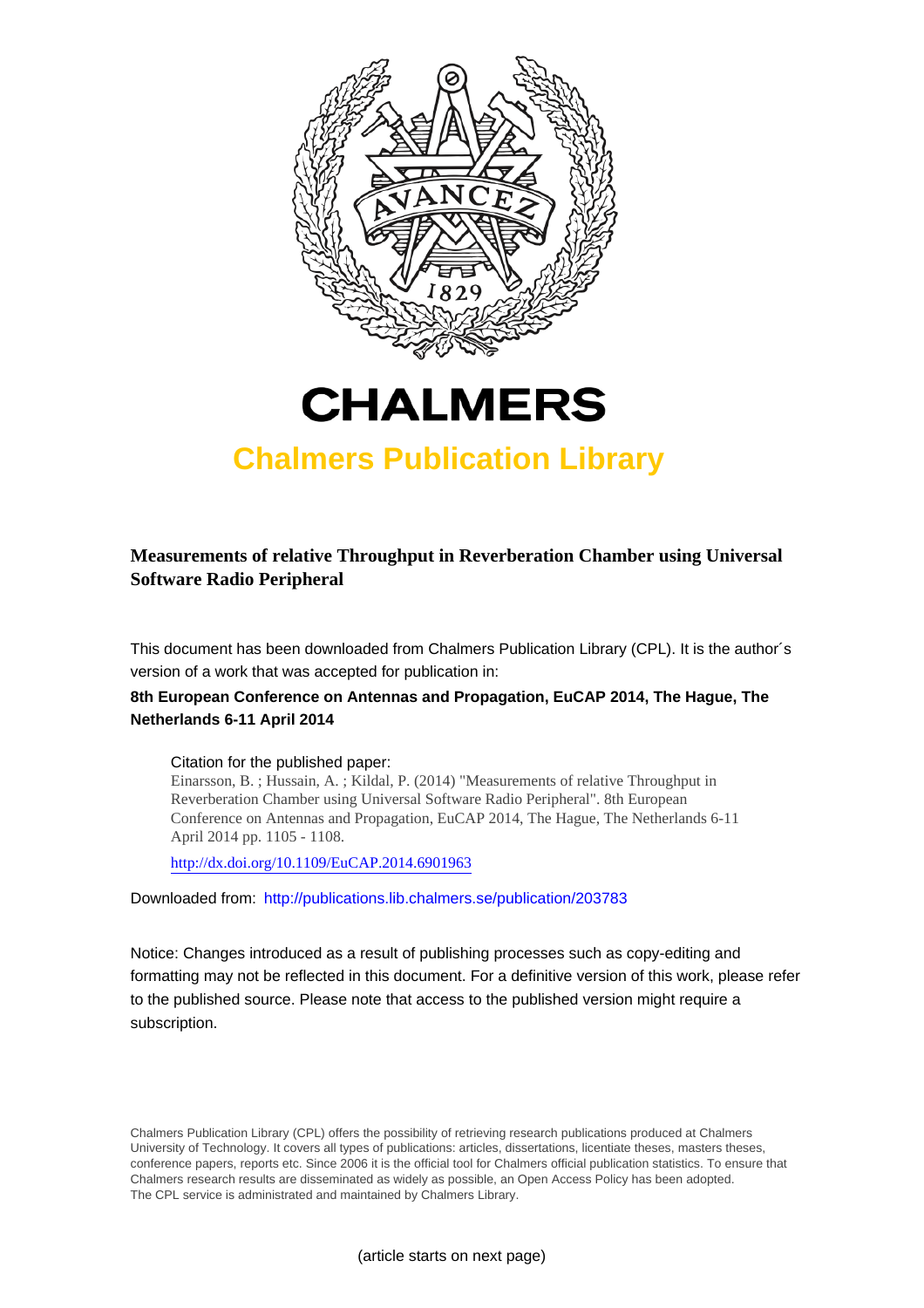



## **Chalmers Publication Library**

## **Measurements of relative Throughput in Reverberation Chamber using Universal Software Radio Peripheral**

This document has been downloaded from Chalmers Publication Library (CPL). It is the author´s version of a work that was accepted for publication in:

### **8th European Conference on Antennas and Propagation, EuCAP 2014, The Hague, The Netherlands 6-11 April 2014**

#### Citation for the published paper:

Einarsson, B. ; Hussain, A. ; Kildal, P. (2014) "Measurements of relative Throughput in Reverberation Chamber using Universal Software Radio Peripheral". 8th European Conference on Antennas and Propagation, EuCAP 2014, The Hague, The Netherlands 6-11 April 2014 pp. 1105 - 1108.

<http://dx.doi.org/10.1109/EuCAP.2014.6901963>

Downloaded from: <http://publications.lib.chalmers.se/publication/203783>

Notice: Changes introduced as a result of publishing processes such as copy-editing and formatting may not be reflected in this document. For a definitive version of this work, please refer to the published source. Please note that access to the published version might require a subscription.

Chalmers Publication Library (CPL) offers the possibility of retrieving research publications produced at Chalmers University of Technology. It covers all types of publications: articles, dissertations, licentiate theses, masters theses, conference papers, reports etc. Since 2006 it is the official tool for Chalmers official publication statistics. To ensure that Chalmers research results are disseminated as widely as possible, an Open Access Policy has been adopted. The CPL service is administrated and maintained by Chalmers Library.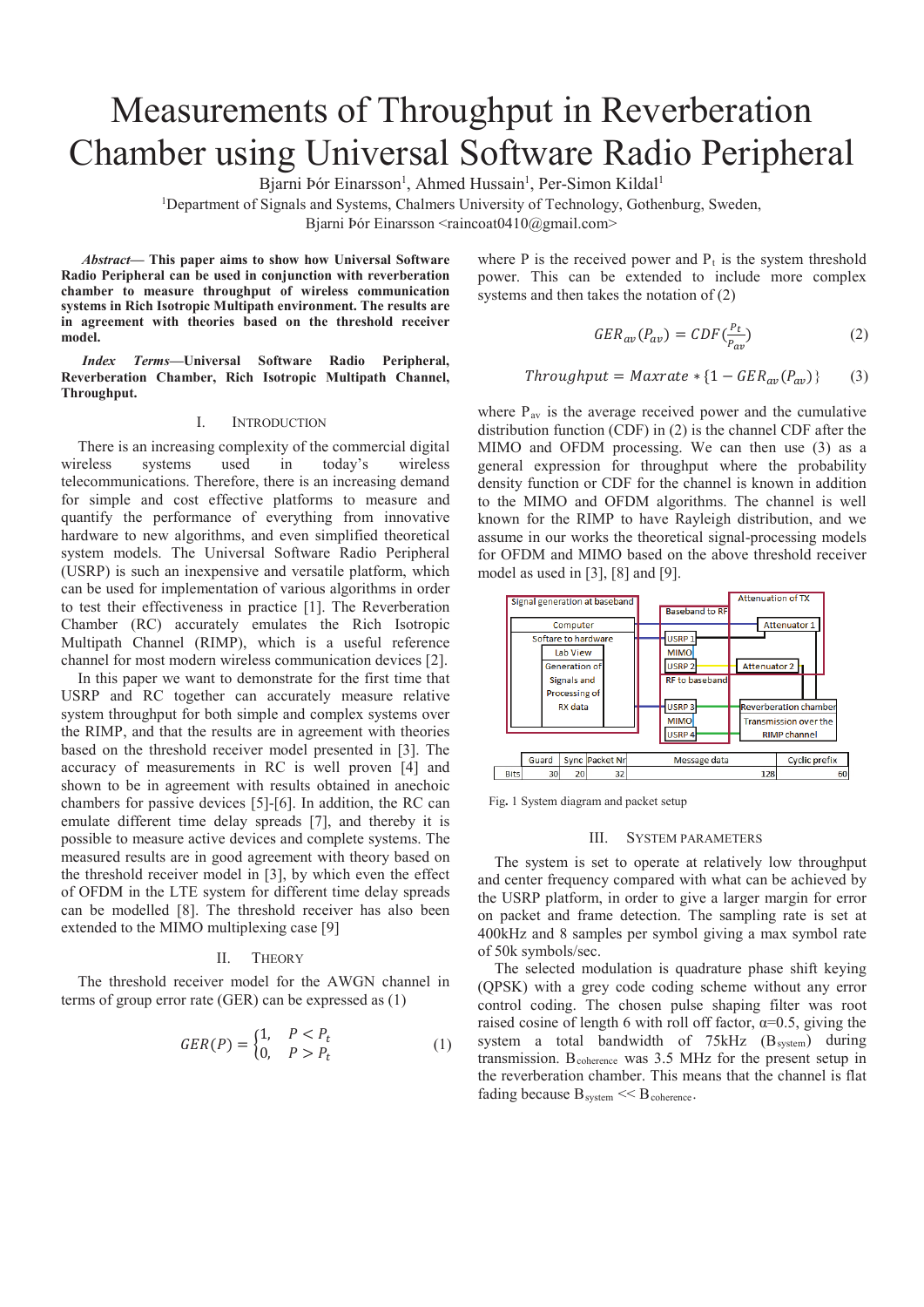# Measurements of Throughput in Reverberation Chamber using Universal Software Radio Peripheral

Bjarni Þór Einarsson<sup>1</sup>, Ahmed Hussain<sup>1</sup>, Per-Simon Kildal<sup>1</sup>

<sup>1</sup>Department of Signals and Systems, Chalmers University of Technology, Gothenburg, Sweden,

Bjarni Þór Einarsson  $\alpha$ aincoat0410@gmail.com>

*Abstract***— This paper aims to show how Universal Software Radio Peripheral can be used in conjunction with reverberation chamber to measure throughput of wireless communication systems in Rich Isotropic Multipath environment. The results are in agreement with theories based on the threshold receiver model.**

*Index Terms—***Universal Software Radio Peripheral, Reverberation Chamber, Rich Isotropic Multipath Channel, Throughput.**

#### I. INTRODUCTION

There is an increasing complexity of the commercial digital wireless systems used in today's wireless telecommunications. Therefore, there is an increasing demand for simple and cost effective platforms to measure and quantify the performance of everything from innovative hardware to new algorithms, and even simplified theoretical system models. The Universal Software Radio Peripheral (USRP) is such an inexpensive and versatile platform, which can be used for implementation of various algorithms in order to test their effectiveness in practice [1]. The Reverberation Chamber (RC) accurately emulates the Rich Isotropic Multipath Channel (RIMP), which is a useful reference channel for most modern wireless communication devices [2].

In this paper we want to demonstrate for the first time that USRP and RC together can accurately measure relative system throughput for both simple and complex systems over the RIMP, and that the results are in agreement with theories based on the threshold receiver model presented in [3]. The accuracy of measurements in RC is well proven [4] and shown to be in agreement with results obtained in anechoic chambers for passive devices [5]-[6]. In addition, the RC can emulate different time delay spreads [7], and thereby it is possible to measure active devices and complete systems. The measured results are in good agreement with theory based on the threshold receiver model in [3], by which even the effect of OFDM in the LTE system for different time delay spreads can be modelled [8]. The threshold receiver has also been extended to the MIMO multiplexing case [9]

#### II. THEORY

The threshold receiver model for the AWGN channel in terms of group error rate (GER) can be expressed as (1)

$$
GER(P) = \begin{cases} 1, & P < P_t \\ 0, & P > P_t \end{cases}
$$
 (1)

where P is the received power and  $P_t$  is the system threshold power. This can be extended to include more complex systems and then takes the notation of (2)

$$
GER_{av}(P_{av}) = CDF(\frac{P_t}{P_{av}})
$$
 (2)

$$
Throughput = Maxrate * \{1 - GER_{av}(P_{av})\} \qquad (3)
$$

where  $P_{av}$  is the average received power and the cumulative distribution function (CDF) in (2) is the channel CDF after the MIMO and OFDM processing. We can then use (3) as a general expression for throughput where the probability density function or CDF for the channel is known in addition to the MIMO and OFDM algorithms. The channel is well known for the RIMP to have Rayleigh distribution, and we assume in our works the theoretical signal-processing models for OFDM and MIMO based on the above threshold receiver model as used in [3], [8] and [9].



Fig**.** 1 System diagram and packet setup

#### III. SYSTEM PARAMETERS

The system is set to operate at relatively low throughput and center frequency compared with what can be achieved by the USRP platform, in order to give a larger margin for error on packet and frame detection. The sampling rate is set at 400kHz and 8 samples per symbol giving a max symbol rate of 50k symbols/sec.

The selected modulation is quadrature phase shift keying (QPSK) with a grey code coding scheme without any error control coding. The chosen pulse shaping filter was root raised cosine of length 6 with roll off factor,  $\alpha=0.5$ , giving the system a total bandwidth of 75kHz (B<sub>system</sub>) during transmission. Bcoherence was 3.5 MHz for the present setup in the reverberation chamber. This means that the channel is flat fading because  $B_{system} < B_{coherence}$ .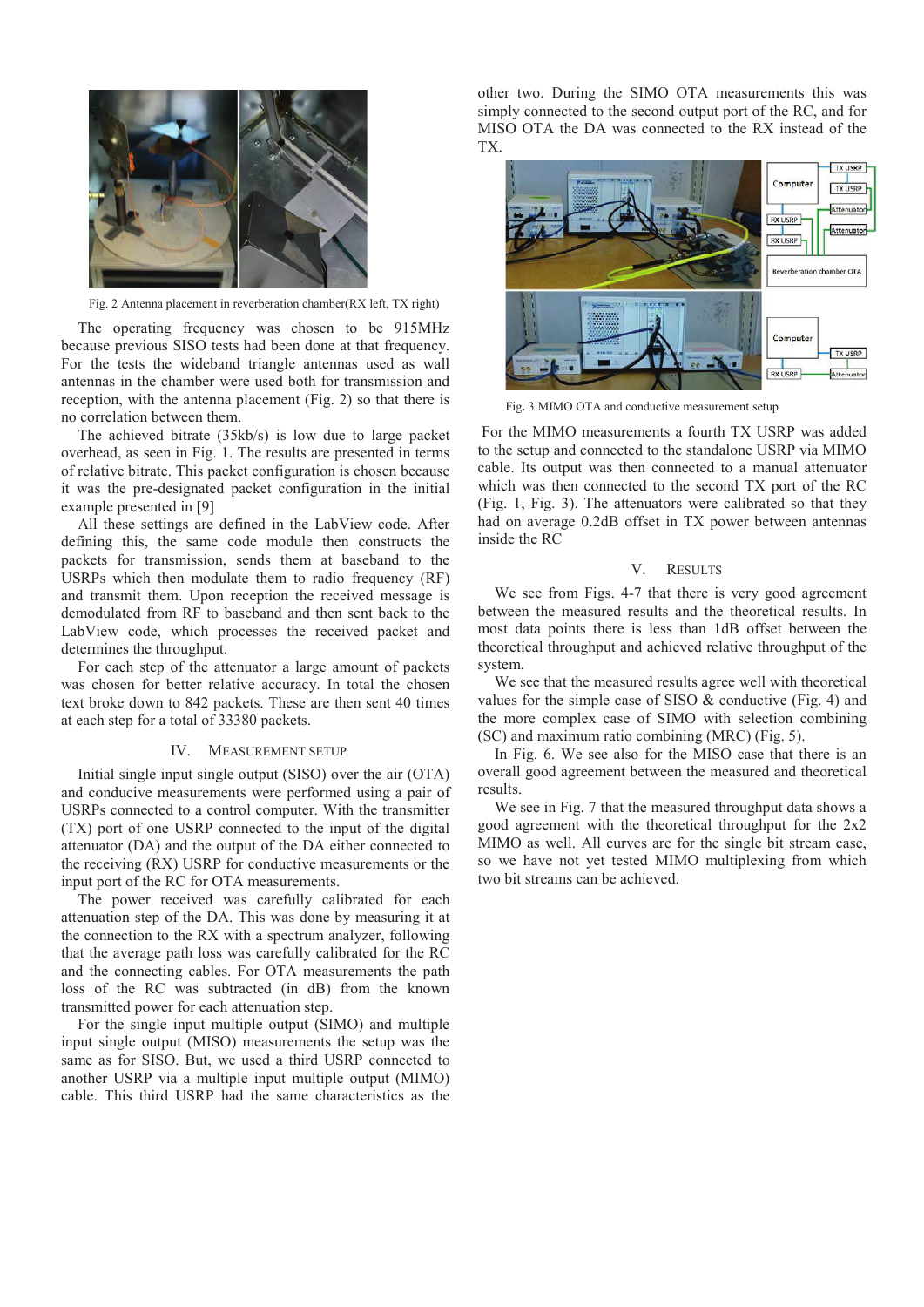

Fig. 2 Antenna placement in reverberation chamber(RX left, TX right)

The operating frequency was chosen to be 915MHz because previous SISO tests had been done at that frequency. For the tests the wideband triangle antennas used as wall antennas in the chamber were used both for transmission and reception, with the antenna placement (Fig. 2) so that there is no correlation between them.

The achieved bitrate (35kb/s) is low due to large packet overhead, as seen in Fig. 1. The results are presented in terms of relative bitrate. This packet configuration is chosen because it was the pre-designated packet configuration in the initial example presented in [9]

All these settings are defined in the LabView code. After defining this, the same code module then constructs the packets for transmission, sends them at baseband to the USRPs which then modulate them to radio frequency (RF) and transmit them. Upon reception the received message is demodulated from RF to baseband and then sent back to the LabView code, which processes the received packet and determines the throughput.

For each step of the attenuator a large amount of packets was chosen for better relative accuracy. In total the chosen text broke down to 842 packets. These are then sent 40 times at each step for a total of 33380 packets.

#### IV. MEASUREMENT SETUP

Initial single input single output (SISO) over the air (OTA) and conducive measurements were performed using a pair of USRPs connected to a control computer. With the transmitter (TX) port of one USRP connected to the input of the digital attenuator (DA) and the output of the DA either connected to the receiving (RX) USRP for conductive measurements or the input port of the RC for OTA measurements.

The power received was carefully calibrated for each attenuation step of the DA. This was done by measuring it at the connection to the RX with a spectrum analyzer, following that the average path loss was carefully calibrated for the RC and the connecting cables. For OTA measurements the path loss of the RC was subtracted (in dB) from the known transmitted power for each attenuation step.

For the single input multiple output (SIMO) and multiple input single output (MISO) measurements the setup was the same as for SISO. But, we used a third USRP connected to another USRP via a multiple input multiple output (MIMO) cable. This third USRP had the same characteristics as the other two. During the SIMO OTA measurements this was simply connected to the second output port of the RC, and for MISO OTA the DA was connected to the RX instead of the TX.



Fig**.** 3 MIMO OTA and conductive measurement setup

For the MIMO measurements a fourth TX USRP was added to the setup and connected to the standalone USRP via MIMO cable. Its output was then connected to a manual attenuator which was then connected to the second TX port of the RC (Fig. 1, Fig. 3). The attenuators were calibrated so that they had on average 0.2dB offset in TX power between antennas inside the RC

#### V. RESULTS

We see from Figs. 4-7 that there is very good agreement between the measured results and the theoretical results. In most data points there is less than 1dB offset between the theoretical throughput and achieved relative throughput of the system.

We see that the measured results agree well with theoretical values for the simple case of SISO  $&$  conductive (Fig. 4) and the more complex case of SIMO with selection combining (SC) and maximum ratio combining (MRC) (Fig. 5).

In Fig. 6. We see also for the MISO case that there is an overall good agreement between the measured and theoretical results.

We see in Fig. 7 that the measured throughput data shows a good agreement with the theoretical throughput for the 2x2 MIMO as well. All curves are for the single bit stream case, so we have not yet tested MIMO multiplexing from which two bit streams can be achieved.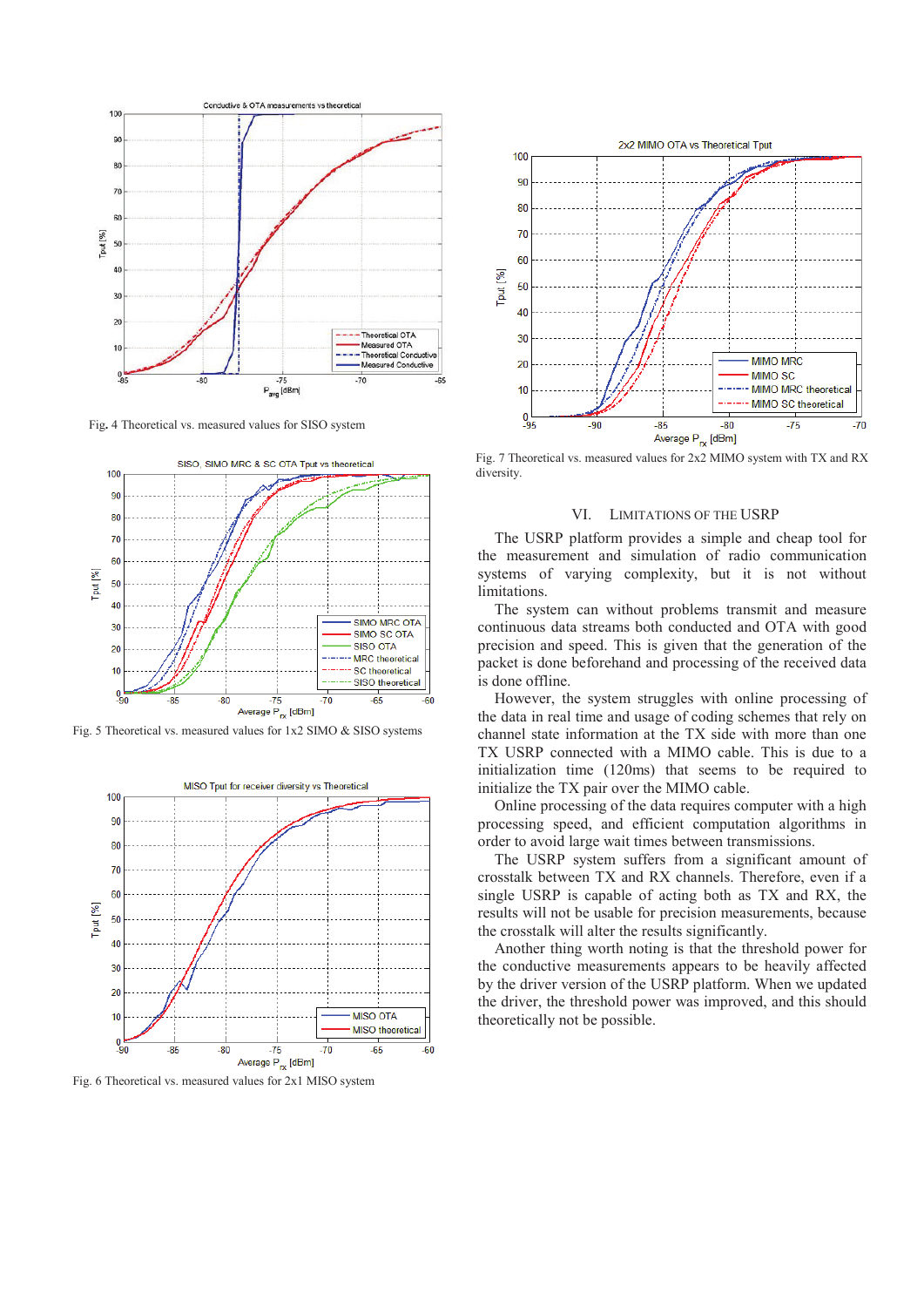

Fig**.** 4 Theoretical vs. measured values for SISO system



Fig. 5 Theoretical vs. measured values for 1x2 SIMO & SISO systems



Fig. 6 Theoretical vs. measured values for 2x1 MISO system



Fig. 7 Theoretical vs. measured values for 2x2 MIMO system with TX and RX diversity.

#### VI. LIMITATIONS OF THE USRP

The USRP platform provides a simple and cheap tool for the measurement and simulation of radio communication systems of varying complexity, but it is not without limitations.

The system can without problems transmit and measure continuous data streams both conducted and OTA with good precision and speed. This is given that the generation of the packet is done beforehand and processing of the received data is done offline.

However, the system struggles with online processing of the data in real time and usage of coding schemes that rely on channel state information at the TX side with more than one TX USRP connected with a MIMO cable. This is due to a initialization time (120ms) that seems to be required to initialize the TX pair over the MIMO cable.

Online processing of the data requires computer with a high processing speed, and efficient computation algorithms in order to avoid large wait times between transmissions.

The USRP system suffers from a significant amount of crosstalk between TX and RX channels. Therefore, even if a single USRP is capable of acting both as TX and RX, the results will not be usable for precision measurements, because the crosstalk will alter the results significantly.

Another thing worth noting is that the threshold power for the conductive measurements appears to be heavily affected by the driver version of the USRP platform. When we updated the driver, the threshold power was improved, and this should theoretically not be possible.